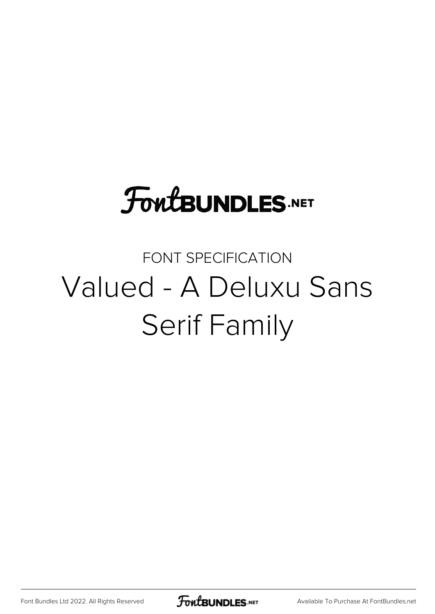# **FoutBUNDLES.NET**

# FONT SPECIFICATION Valued - A Deluxu Sans Serif Family

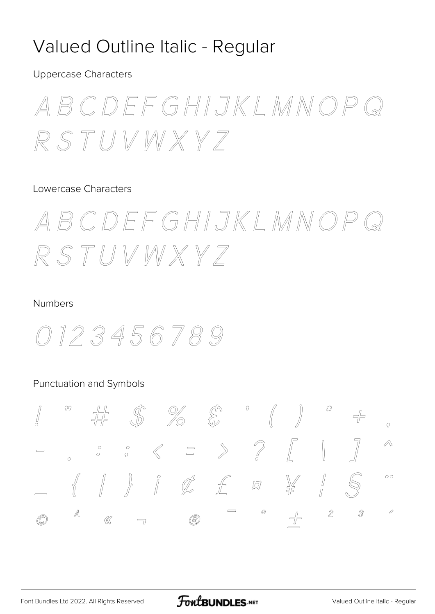### Valued Outline Italic - Regular

**Uppercase Characters** 

ABCDEFGHIJKLMNOP RSTUVWXY7

#### Lowercase Characters

ABCDEFGHIJKLMNOP RSTUVWXY7

#### **Numbers**



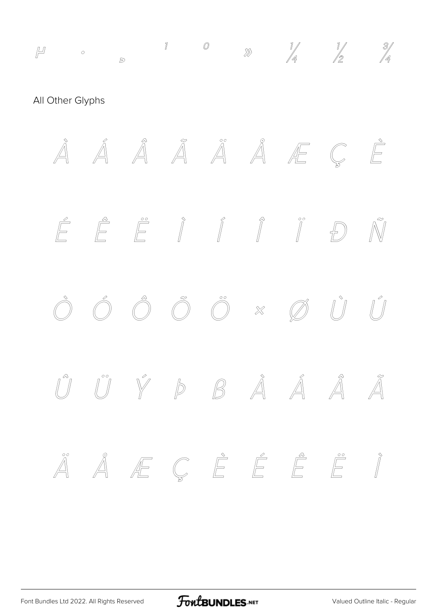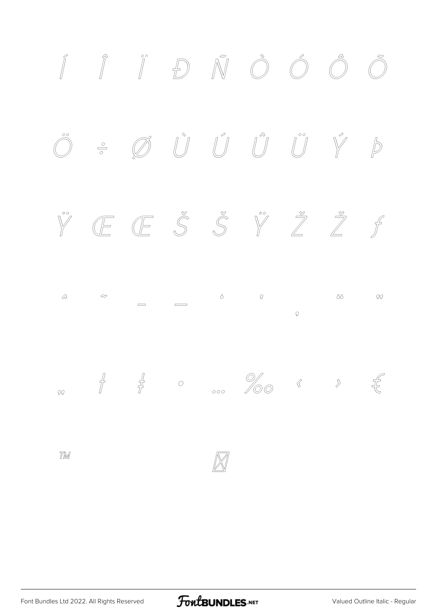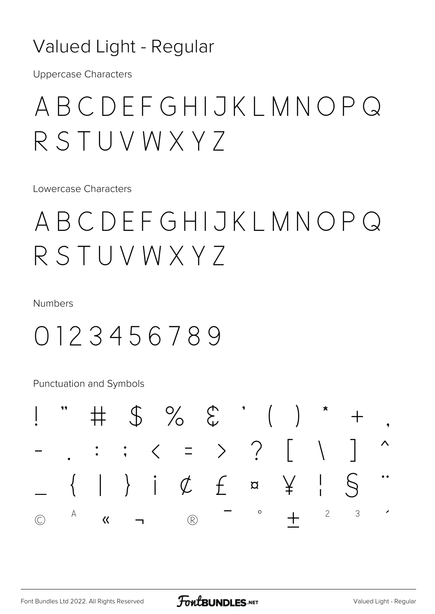### Valued Light - Regular

**Uppercase Characters** 

# ABCDEFGHIJKLMNOPQ RSTUVWXY7

I owercase Characters

# ABCDEFGHIJKLMNOPQ RSTUVWXY7

Numbers

### 0123456789

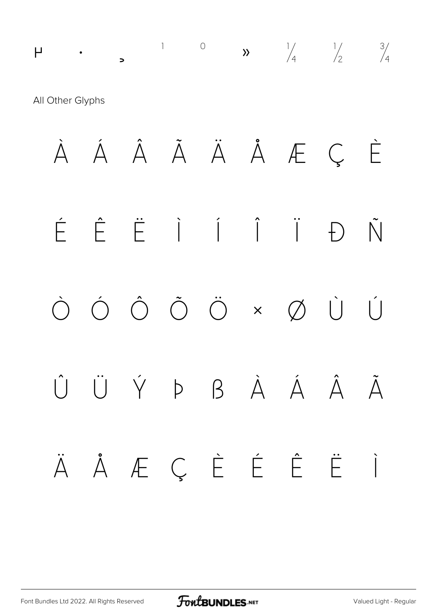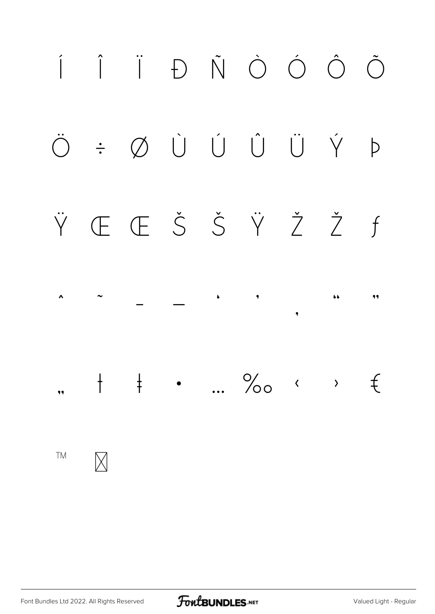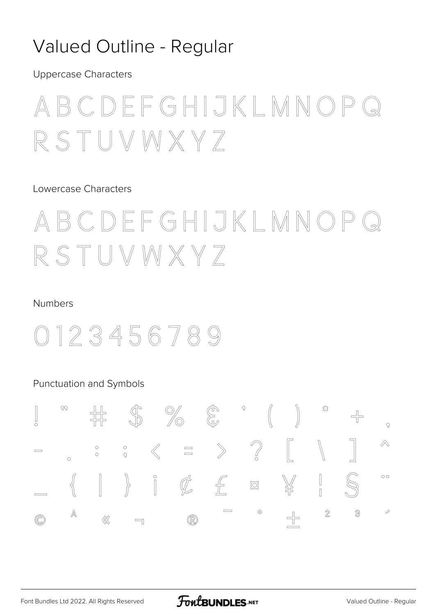### Valued Outline - Regular

**Uppercase Characters** 

### CDEFGHIJKLMNO  $\mathbb{R}$  $S T UNXXX Z$

### Lowercase Characters

### CDEFGHIJKLMNO  $\mathbb{B}$  $STUVMXXY$

#### **Numbers**

## 123456789

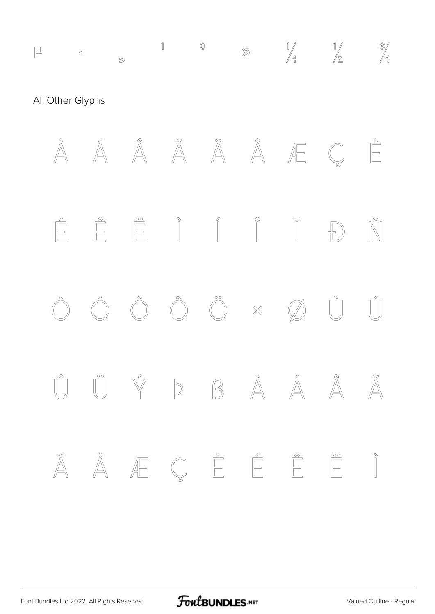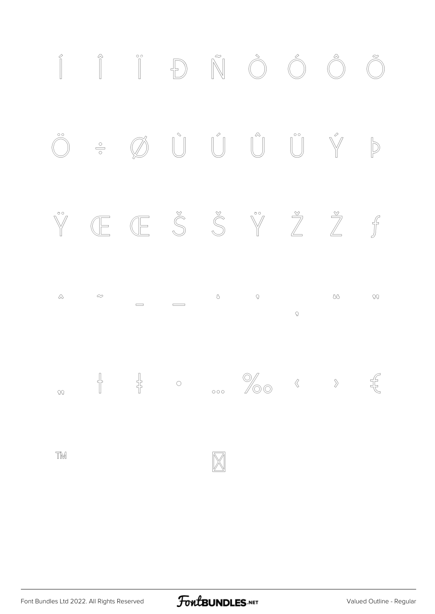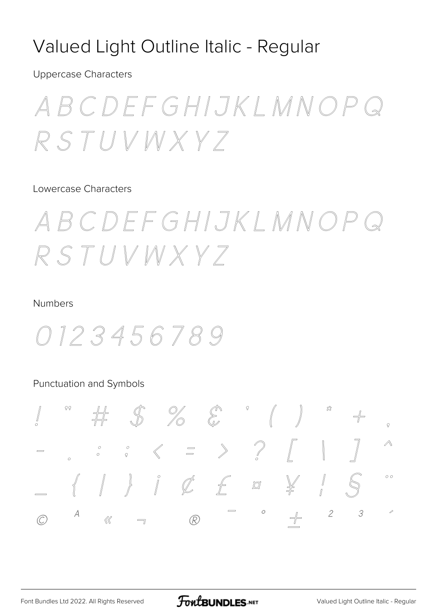### Valued Light Outline Italic - Regular

**Uppercase Characters** 

BCDEFGHIJKLMNOP RSTUVWXY7

#### Lowercase Characters

BCDEFGHIJKLMNOF RSTUVWXYZ

#### **Numbers**

0123456789

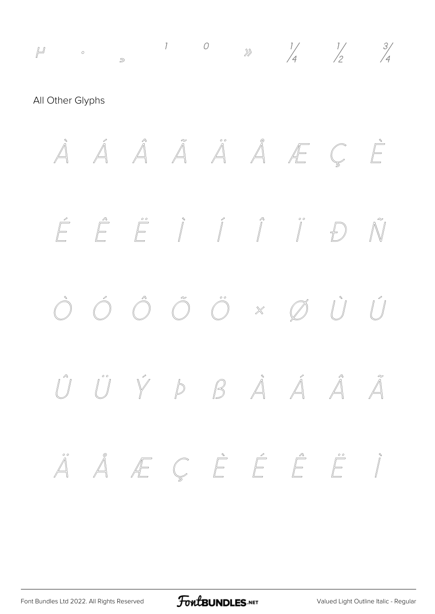*µ ∘ 1 0 ≥ 1 1 1 4 1 1 4 4 4 4 4* All Other Glyphs *À Á Â Ã Ä Å Æ Ç È É Ê Ë Ì Í Î Ï Ð Ñ Ò Ó Ô Õ Ö × Ø Ù Ú Û Ü Ý Þ ß à á â ã ä å æ ç è é ê ë ì*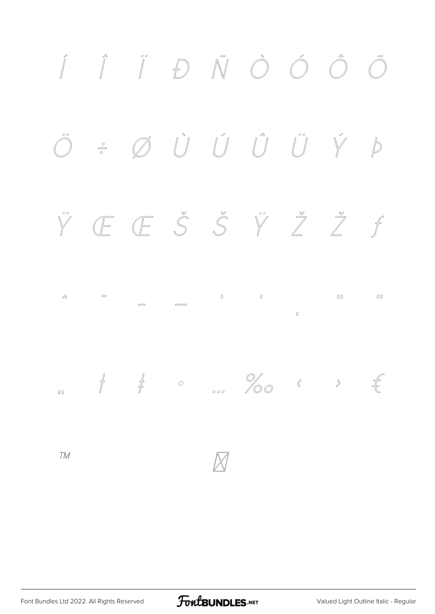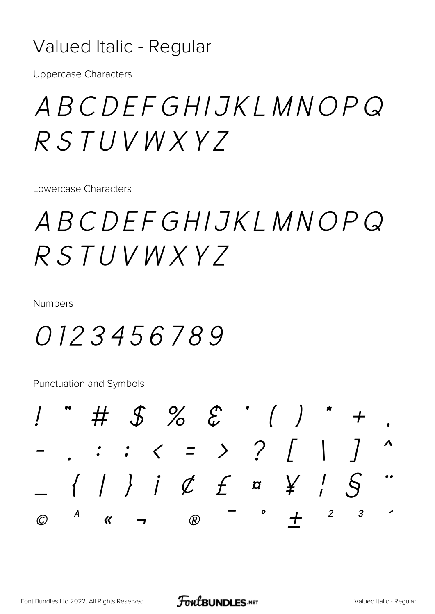### Valued Italic - Regular

**Uppercase Characters** 

ABCDEFGHIJKLMNOPQ  $RSTUVWXYZ$ 

Lowercase Characters

ABCDEFGHIJKLMNOPQ  $RSTUVWXYZ$ 

Numbers

0123456789

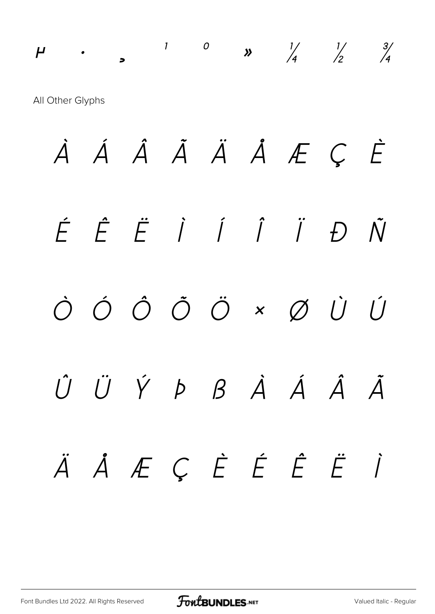# *µ · ¸ ¹ º » ¼ ½ ¾* All Other Glyphs *À Á Â Ã Ä Å Æ Ç È É Ê Ë Ì Í Î Ï Ð Ñ Ò Ó Ô Õ Ö × Ø Ù Ú Û Ü Ý Þ ß à á â ã ä å æ ç è é ê ë ì*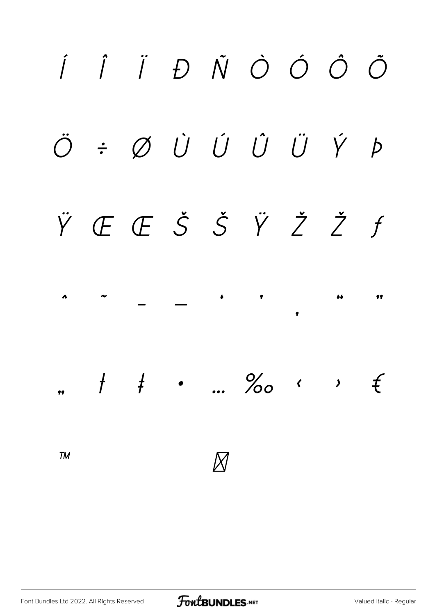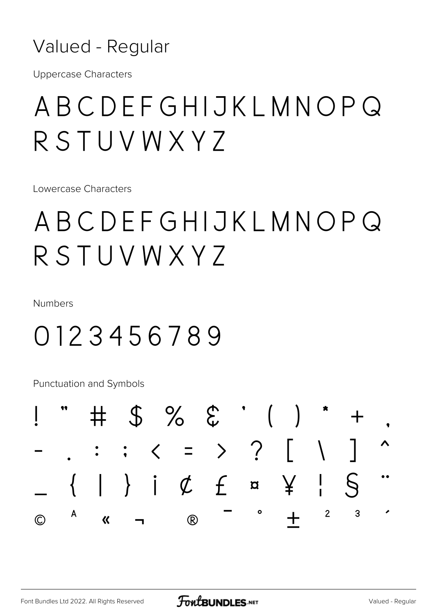Valued - Regular

**Uppercase Characters** 

# ABCDEFGHIJKLMNOPQ RSTUVWXY7

Lowercase Characters

# ABCDEFGHIJKLMNOPQ RSTUVWXY7

**Numbers** 

## 0123456789

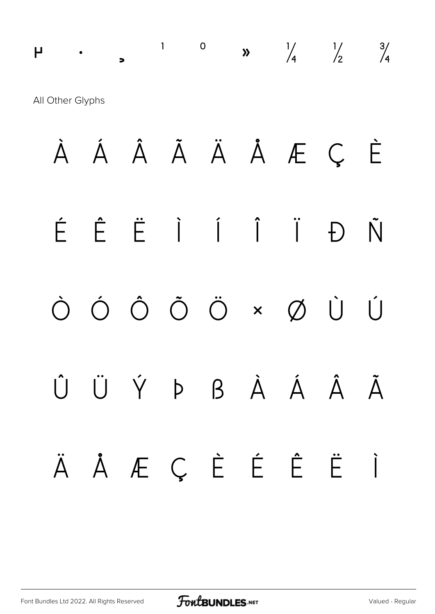# µ · ¸ ¹ º » ¼ ½ ¾ All Other Glyphs

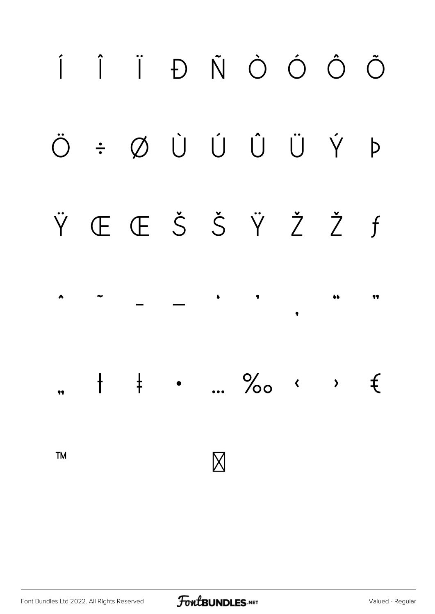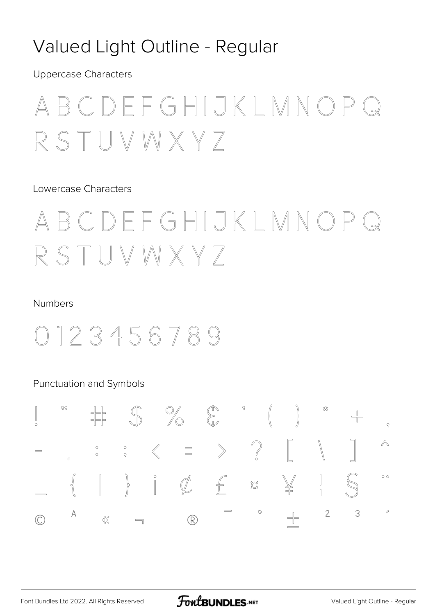### Valued Light Outline - Regular

**Uppercase Characters** 

# DEFGHIJKLMNO  $V$  M X Y  $7$

Lowercase Characters

### DFFGHIJKLMNO  $\mathcal{L}$  $\begin{array}{c} \top \cup \vee \vee \vee \times \vee \end{array}$

#### **Numbers**

# 0123456789

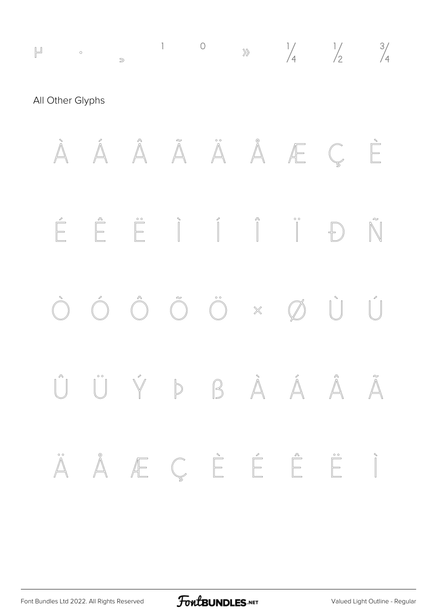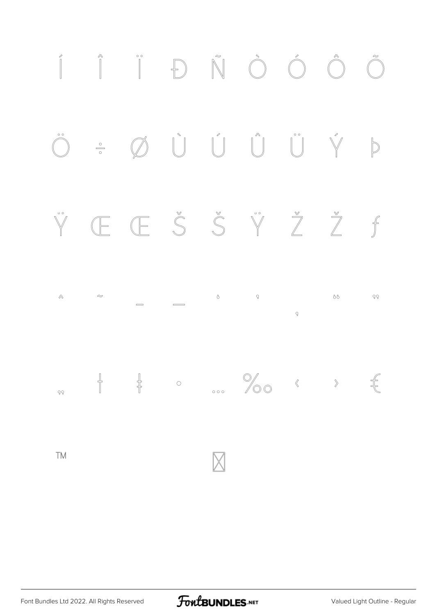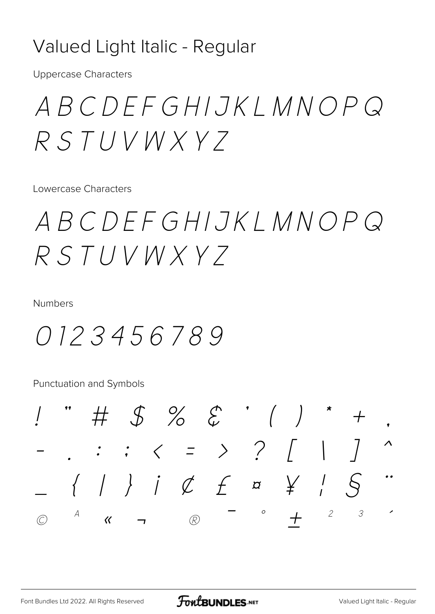### Valued Light Italic - Regular

**Uppercase Characters** 

ABCDEFGHIJKLMNOPQ  $RSTUVWXYZ$ 

Lowercase Characters

ABCDEFGHIJKLMNOPQ  $RSTUVWXYZ$ 

Numbers

0123456789

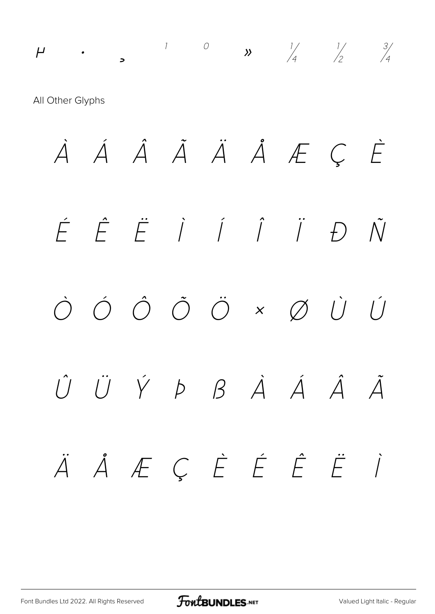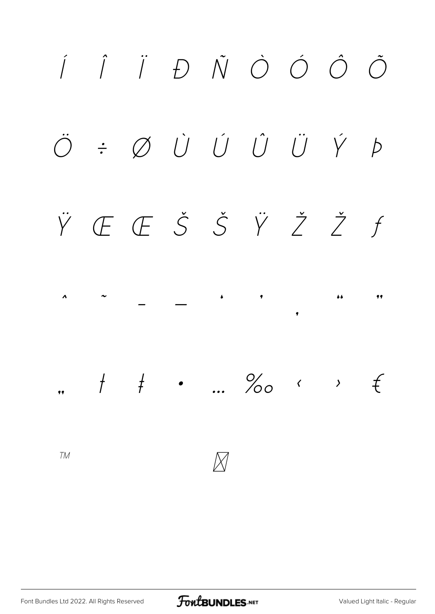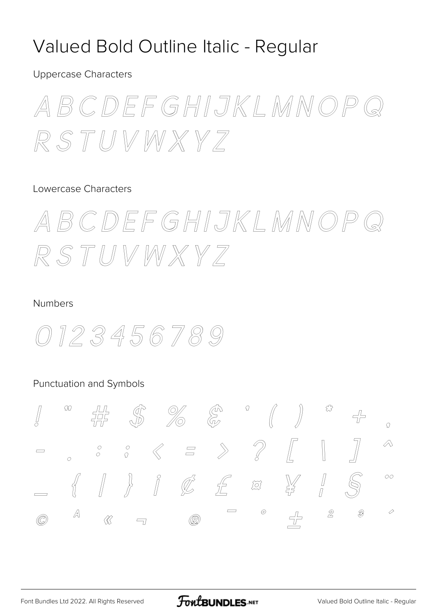### Valued Bold Outline Italic - Regular

**Uppercase Characters** 

ABCDEFGHIJKLMNOP  $\binom{2}{3}$ RSTUVWXY7

### Lowercase Characters

ABCDEFGHIJKLMNOP RSTUVWXY7

#### Numbers



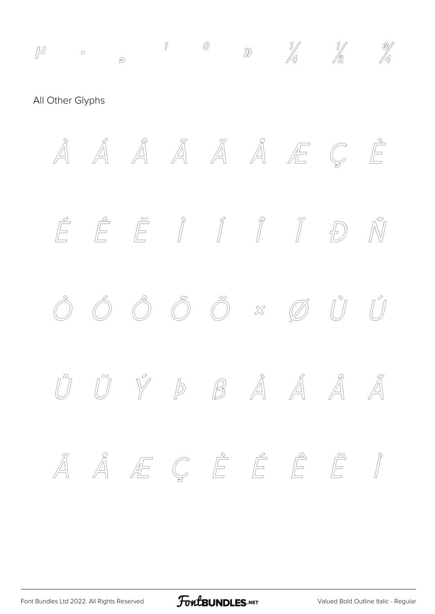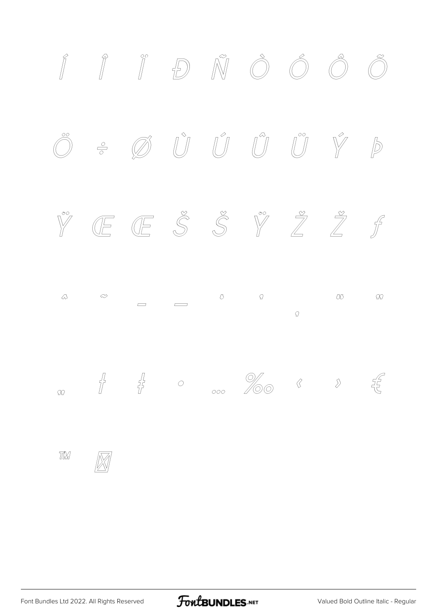

FontBUNDLES.NET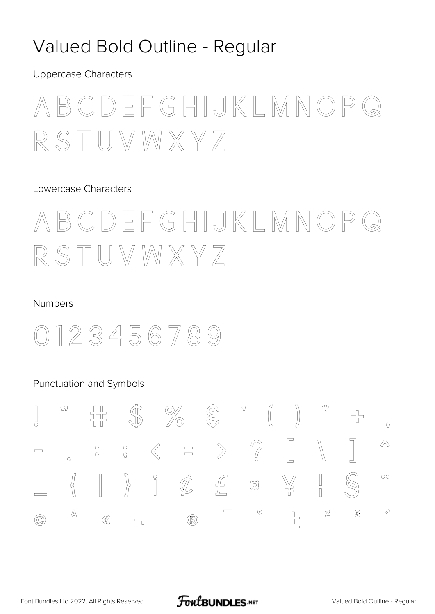### Valued Bold Outline - Regular

**Uppercase Characters** 



#### Lowercase Characters

ABCDEFGHIJKLMNOP  $\mathbb{R}$  stuvwxyz

#### **Numbers**



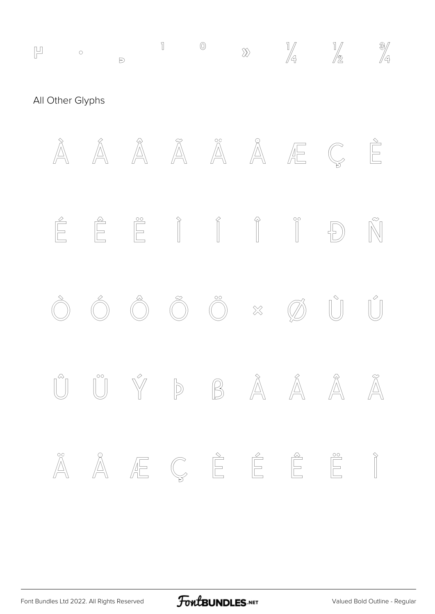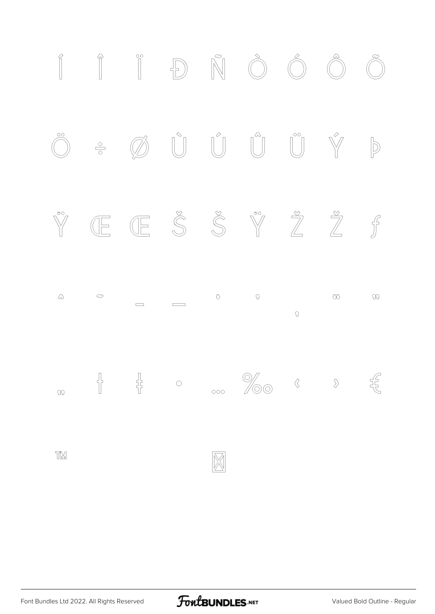

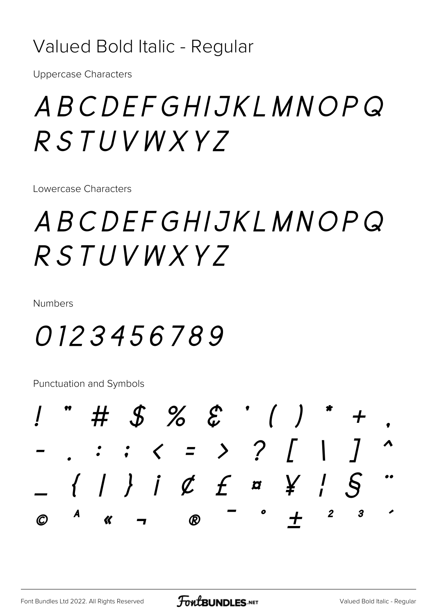### Valued Bold Italic - Regular

**Uppercase Characters** 

# ABCDEFGHIJKLMNOPQ RSTUVWXYZ

Lowercase Characters

# ABCDEFGHIJKLMNOPQ RSTUVWXYZ

Numbers

# 0123456789

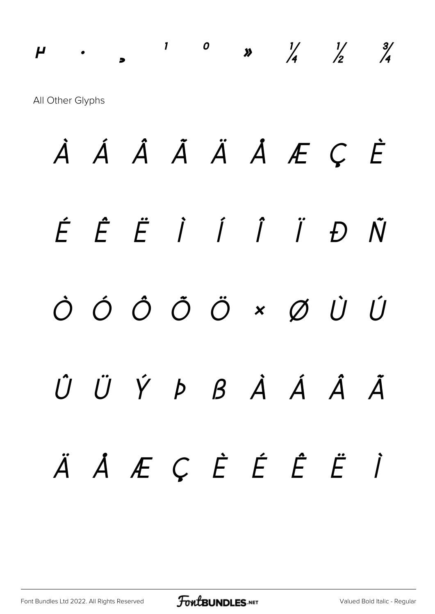# *µ · ¸ ¹ º » ¼ ½ ¾* All Other Glyphs

*À Á Â Ã Ä Å Æ Ç È É Ê Ë Ì Í Î Ï Ð Ñ Ò Ó Ô Õ Ö × Ø Ù Ú Û Ü Ý Þ ß à á â ã ä å æ ç è é ê ë ì*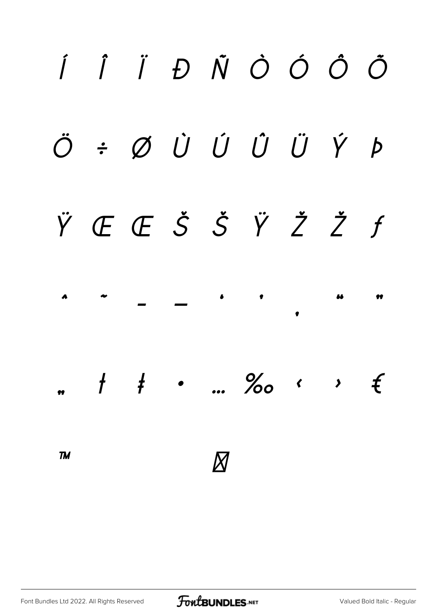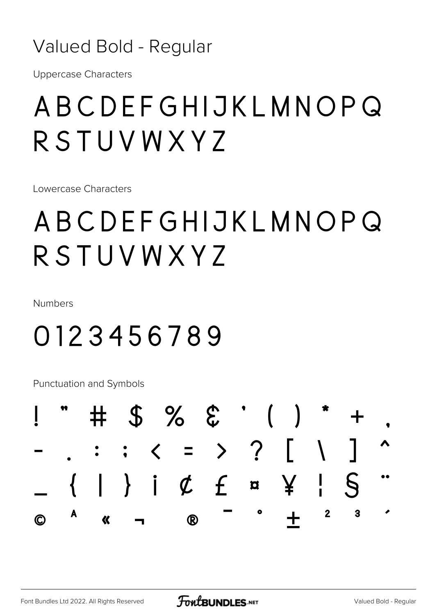### Valued Bold - Regular

**Uppercase Characters** 

# ABCDEFGHIJKLMNOPQ RSTUVWXY7

Lowercase Characters

# ABCDEFGHIJKLMNOPQ RSTUVWXY7

Numbers

# 0123456789

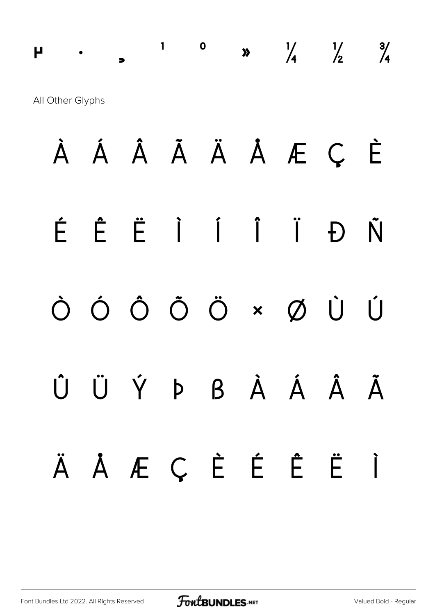**µ** · 1 0 **x**  $\frac{1}{4}$   $\frac{1}{2}$   $\frac{3}{4}$ All Other Glyphs

**À Á Â Ã Ä Å Æ Ç È É Ê Ë Ì Í Î Ï Ð Ñ Ò Ó Ô Õ Ö × Ø Ù Ú Û Ü Ý Þ ß à á â ã ä å æ ç è é ê ë ì**